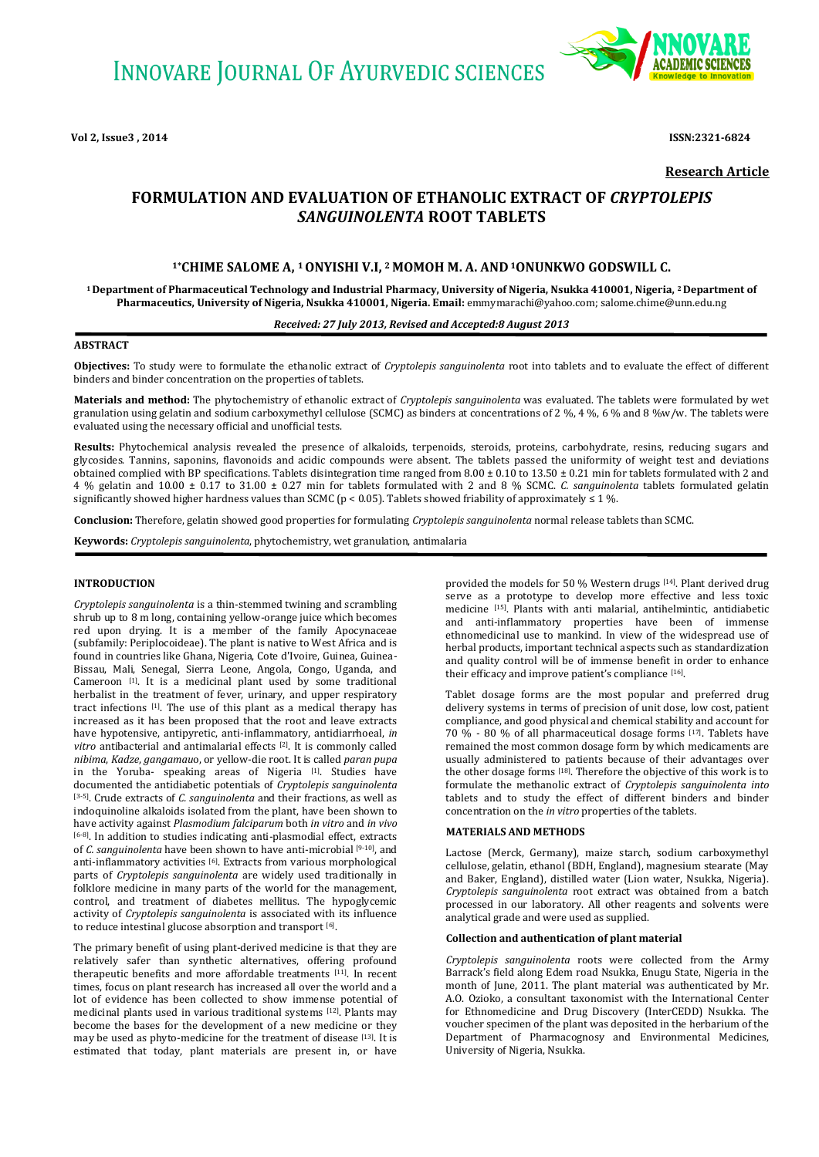

**Research Article**

# **FORMULATION AND EVALUATION OF ETHANOLIC EXTRACT OF** *CRYPTOLEPIS SANGUINOLENTA* **ROOT TABLETS**

# **1\*CHIME SALOME A, <sup>1</sup>ONYISHI V.I, 2 MOMOH M. A. AND <sup>1</sup>ONUNKWO GODSWILL C.**

**<sup>1</sup>Department of Pharmaceutical Technology and Industrial Pharmacy, University of Nigeria, Nsukka 410001, Nigeria, 2 Department of Pharmaceutics, University of Nigeria, Nsukka 410001, Nigeria. Email:** [emmymarachi@yahoo.com;](mailto:emmymarachi@yahoo.com) salome.chime@unn.edu.ng

# *Received: 27 July 2013, Revised and Accepted:8 August 2013*

# **ABSTRACT**

**Objectives:** To study were to formulate the ethanolic extract of *Cryptolepis sanguinolenta* root into tablets and to evaluate the effect of different binders and binder concentration on the properties of tablets.

**Materials and method:** The phytochemistry of ethanolic extract of *Cryptolepis sanguinolenta* was evaluated. The tablets were formulated by wet granulation using gelatin and sodium carboxymethyl cellulose (SCMC) as binders at concentrations of 2 %, 4 %, 6 % and 8 %w/w. The tablets were evaluated using the necessary official and unofficial tests.

**Results:** Phytochemical analysis revealed the presence of alkaloids, terpenoids, steroids, proteins, carbohydrate, resins, reducing sugars and glycosides. Tannins, saponins, flavonoids and acidic compounds were absent. The tablets passed the uniformity of weight test and deviations obtained complied with BP specifications. Tablets disintegration time ranged from  $8.00 \pm 0.10$  to  $13.50 \pm 0.21$  min for tablets formulated with 2 and 4 % gelatin and 10.00 ± 0.17 to 31.00 ± 0.27 min for tablets formulated with 2 and 8 % SCMC. *C. sanguinolenta* tablets formulated gelatin significantly showed higher hardness values than SCMC ( $p < 0.05$ ). Tablets showed friability of approximately  $\leq 1$  %.

**Conclusion:** Therefore, gelatin showed good properties for formulating *Cryptolepis sanguinolenta* normal release tablets than SCMC.

**Keywords:** *Cryptolepis sanguinolenta*, phytochemistry, wet granulation, antimalaria

## **INTRODUCTION**

*Cryptolepis sanguinolenta* is a thin-stemmed twining and scrambling shrub up to 8 m long, containing yellow-orange juice which becomes red upon drying. It is a member of the family Apocynaceae (subfamily: Periplocoideae). The plant is native to West Africa and is found in countries like Ghana, Nigeria, Cote d'Ivoire, Guinea, Guinea-Bissau, Mali, Senegal, Sierra Leone, Angola, Congo, Uganda, and Cameroon [1]. It is a medicinal plant used by some traditional herbalist in the treatment of fever, urinary, and upper respiratory tract infections [1]. The use of this plant as a medical therapy has increased as it has been proposed that the root and leave extracts have hypotensive, antipyretic, anti-inflammatory, antidiarrhoeal, *in vitro* antibacterial and antimalarial effects [2]. It is commonly called *nibima*, *Kadze*, *gangamau*o, or yellow-die root. It is called *paran pupa* in the Yoruba- speaking areas of Nigeria [1]. Studies have documented the antidiabetic potentials of *Cryptolepis sanguinolenta* [3-5]. Crude extracts of *C. sanguinolenta* and their fractions, as well as indoquinoline alkaloids isolated from the plant, have been shown to have activity against *Plasmodium falciparum* both *in vitro* and *in vivo*  [6-8]. In addition to studies indicating anti-plasmodial effect, extracts of *C. sanguinolenta* have been shown to have anti-microbial [9-10], and anti-inflammatory activities [6]. Extracts from various morphological parts of *Cryptolepis sanguinolenta* are widely used traditionally in folklore medicine in many parts of the world for the management, control, and treatment of diabetes mellitus. The hypoglycemic activity of *Cryptolepis sanguinolenta* is associated with its influence to reduce intestinal glucose absorption and transport [6].

The primary benefit of using plant-derived medicine is that they are relatively safer than synthetic alternatives, offering profound therapeutic benefits and more affordable treatments [11]. In recent times, focus on plant research has increased all over the world and a lot of evidence has been collected to show immense potential of medicinal plants used in various traditional systems [12]. Plants may become the bases for the development of a new medicine or they may be used as phyto-medicine for the treatment of disease [13]. It is estimated that today, plant materials are present in, or have

provided the models for 50 % Western drugs  $[14]$ . Plant derived drug serve as a prototype to develop more effective and less toxic medicine [15]. Plants with anti malarial, antihelmintic, antidiabetic and anti-inflammatory properties have been of immense ethnomedicinal use to mankind. In view of the widespread use of herbal products, important technical aspects such as standardization and quality control will be of immense benefit in order to enhance their efficacy and improve patient's compliance [16].

Tablet dosage forms are the most popular and preferred drug delivery systems in terms of precision of unit dose, low cost, patient compliance, and good physical and chemical stability and account for 70 % - 80 % of all pharmaceutical dosage forms [17]. Tablets have remained the most common dosage form by which medicaments are usually administered to patients because of their advantages over the other dosage forms [18]. Therefore the objective of this work is to formulate the methanolic extract of *Cryptolepis sanguinolenta into*  tablets and to study the effect of different binders and binder concentration on the *in vitro* properties of the tablets*.*

#### **MATERIALS AND METHODS**

Lactose (Merck, Germany), maize starch, sodium carboxymethyl cellulose, gelatin, ethanol (BDH, England), magnesium stearate (May and Baker, England), distilled water (Lion water, Nsukka, Nigeria). *Cryptolepis sanguinolenta* root extract was obtained from a batch processed in our laboratory. All other reagents and solvents were analytical grade and were used as supplied.

## **Collection and authentication of plant material**

*Cryptolepis sanguinolenta* roots were collected from the Army Barrack's field along Edem road Nsukka, Enugu State, Nigeria in the month of June, 2011. The plant material was authenticated by Mr. A.O. Ozioko, a consultant taxonomist with the International Center for Ethnomedicine and Drug Discovery (InterCEDD) Nsukka. The voucher specimen of the plant was deposited in the herbarium of the Department of Pharmacognosy and Environmental Medicines, University of Nigeria, Nsukka.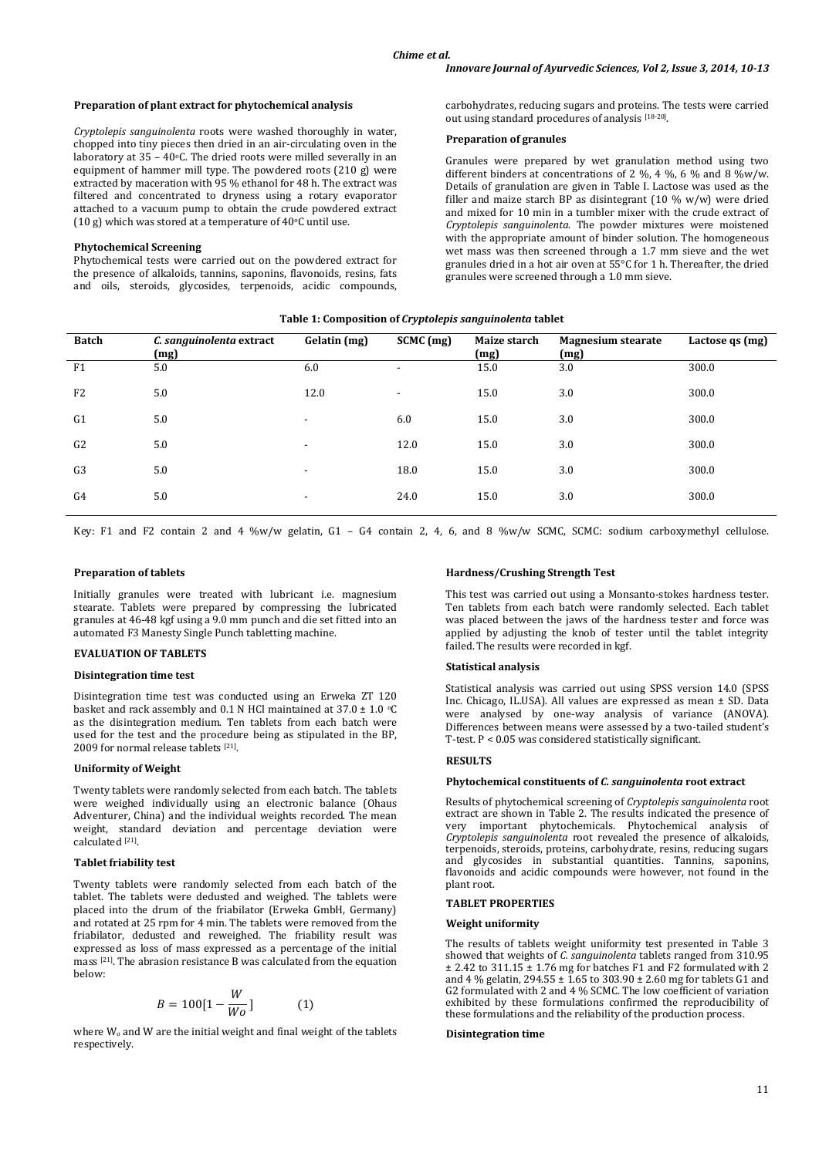#### **Preparation of plant extract for phytochemical analysis**

*Cryptolepis sanguinolenta* roots were washed thoroughly in water, chopped into tiny pieces then dried in an air-circulating oven in the laboratory at 35 – 40°C. The dried roots were milled severally in an equipment of hammer mill type. The powdered roots (210 g) were extracted by maceration with 95 % ethanol for 48 h. The extract was filtered and concentrated to dryness using a rotary evaporator attached to a vacuum pump to obtain the crude powdered extract (10 g) which was stored at a temperature of 40 $\circ$ C until use.

#### **Phytochemical Screening**

Phytochemical tests were carried out on the powdered extract for the presence of alkaloids, tannins, saponins, flavonoids, resins, fats and oils, steroids, glycosides, terpenoids, acidic compounds, carbohydrates, reducing sugars and proteins. The tests were carried out using standard procedures of analysis [18-20].

## **Preparation of granules**

Granules were prepared by wet granulation method using two different binders at concentrations of 2 %, 4 %, 6 % and 8 %w/w. Details of granulation are given in Table I. Lactose was used as the filler and maize starch BP as disintegrant (10 % w/w) were dried and mixed for 10 min in a tumbler mixer with the crude extract of *Cryptolepis sanguinolenta*. The powder mixtures were moistened with the appropriate amount of binder solution. The homogeneous wet mass was then screened through a 1.7 mm sieve and the wet granules dried in a hot air oven at 55°C for 1 h. Thereafter, the dried granules were screened through a 1.0 mm sieve.

| <b>Batch</b>   | C. sanguinolenta extract<br>(mg) | Gelatin (mg)             | $SCMC$ (mg)              | Maize starch<br>(mg) | <b>Magnesium stearate</b><br>(mg) | Lactose qs (mg) |
|----------------|----------------------------------|--------------------------|--------------------------|----------------------|-----------------------------------|-----------------|
| F1             | 5.0                              | 6.0                      | ٠                        | 15.0                 | 3.0                               | 300.0           |
| F <sub>2</sub> | 5.0                              | 12.0                     | $\overline{\phantom{a}}$ | 15.0                 | 3.0                               | 300.0           |
| G <sub>1</sub> | 5.0                              | $\overline{\phantom{a}}$ | 6.0                      | 15.0                 | 3.0                               | 300.0           |
| G <sub>2</sub> | 5.0                              | $\overline{\phantom{a}}$ | 12.0                     | 15.0                 | 3.0                               | 300.0           |
| G <sub>3</sub> | 5.0                              | $\overline{\phantom{a}}$ | 18.0                     | 15.0                 | 3.0                               | 300.0           |
| G4             | 5.0                              | $\overline{\phantom{a}}$ | 24.0                     | 15.0                 | 3.0                               | 300.0           |
|                |                                  |                          |                          |                      |                                   |                 |

**Table 1: Composition of** *Cryptolepis sanguinolenta* **tablet**

Key: F1 and F2 contain 2 and 4 %w/w gelatin, G1 – G4 contain 2, 4, 6, and 8 %w/w SCMC, SCMC: sodium carboxymethyl cellulose.

#### **Preparation of tablets**

Initially granules were treated with lubricant i.e. magnesium stearate. Tablets were prepared by compressing the lubricated granules at 46-48 kgf using a 9.0 mm punch and die set fitted into an automated F3 Manesty Single Punch tabletting machine.

## **EVALUATION OF TABLETS**

#### **Disintegration time test**

Disintegration time test was conducted using an Erweka ZT 120 basket and rack assembly and 0.1 N HCl maintained at 37.0  $\pm$  1.0  $\circ$ C as the disintegration medium. Ten tablets from each batch were used for the test and the procedure being as stipulated in the BP, 2009 for normal release tablets [21] .

#### **Uniformity of Weight**

Twenty tablets were randomly selected from each batch. The tablets were weighed individually using an electronic balance (Ohaus Adventurer, China) and the individual weights recorded. The mean weight, standard deviation and percentage deviation were calculated [21] .

#### **Tablet friability test**

Twenty tablets were randomly selected from each batch of the tablet. The tablets were dedusted and weighed. The tablets were placed into the drum of the friabilator (Erweka GmbH, Germany) and rotated at 25 rpm for 4 min. The tablets were removed from the friabilator, dedusted and reweighed. The friability result was expressed as loss of mass expressed as a percentage of the initial mass [21]. The abrasion resistance B was calculated from the equation below:

$$
B = 100[1 - \frac{W}{Wo}] \tag{1}
$$

where  $W_0$  and  $W$  are the initial weight and final weight of the tablets respectively.

#### **Hardness/Crushing Strength Test**

This test was carried out using a Monsanto-stokes hardness tester. Ten tablets from each batch were randomly selected. Each tablet was placed between the jaws of the hardness tester and force was applied by adjusting the knob of tester until the tablet integrity failed. The results were recorded in kgf.

## **Statistical analysis**

Statistical analysis was carried out using SPSS version 14.0 (SPSS Inc. Chicago, IL.USA). All values are expressed as mean ± SD. Data were analysed by one-way analysis of variance (ANOVA). Differences between means were assessed by a two-tailed student's T-test. P < 0.05 was considered statistically significant.

## **RESULTS**

#### **Phytochemical constituents of** *C. sanguinolenta* **root extract**

Results of phytochemical screening of *Cryptolepis sanguinolenta* root extract are shown in Table 2. The results indicated the presence of very important phytochemicals. Phytochemical analysis of *Cryptolepis sanguinolenta* root revealed the presence of alkaloids, terpenoids, steroids, proteins, carbohydrate, resins, reducing sugars and glycosides in substantial quantities. Tannins, saponins, flavonoids and acidic compounds were however, not found in the plant root.

#### **TABLET PROPERTIES**

## **Weight uniformity**

The results of tablets weight uniformity test presented in Table 3 showed that weights of *C. sanguinolenta* tablets ranged from 310.95  $\pm$  2.42 to 311.15  $\pm$  1.76 mg for batches F1 and F2 formulated with 2 and 4 % gelatin, 294.55  $\pm$  1.65 to 303.90  $\pm$  2.60 mg for tablets G1 and G2 formulated with 2 and 4 % SCMC. The low coefficient of variation exhibited by these formulations confirmed the reproducibility of these formulations and the reliability of the production process.

#### **Disintegration time**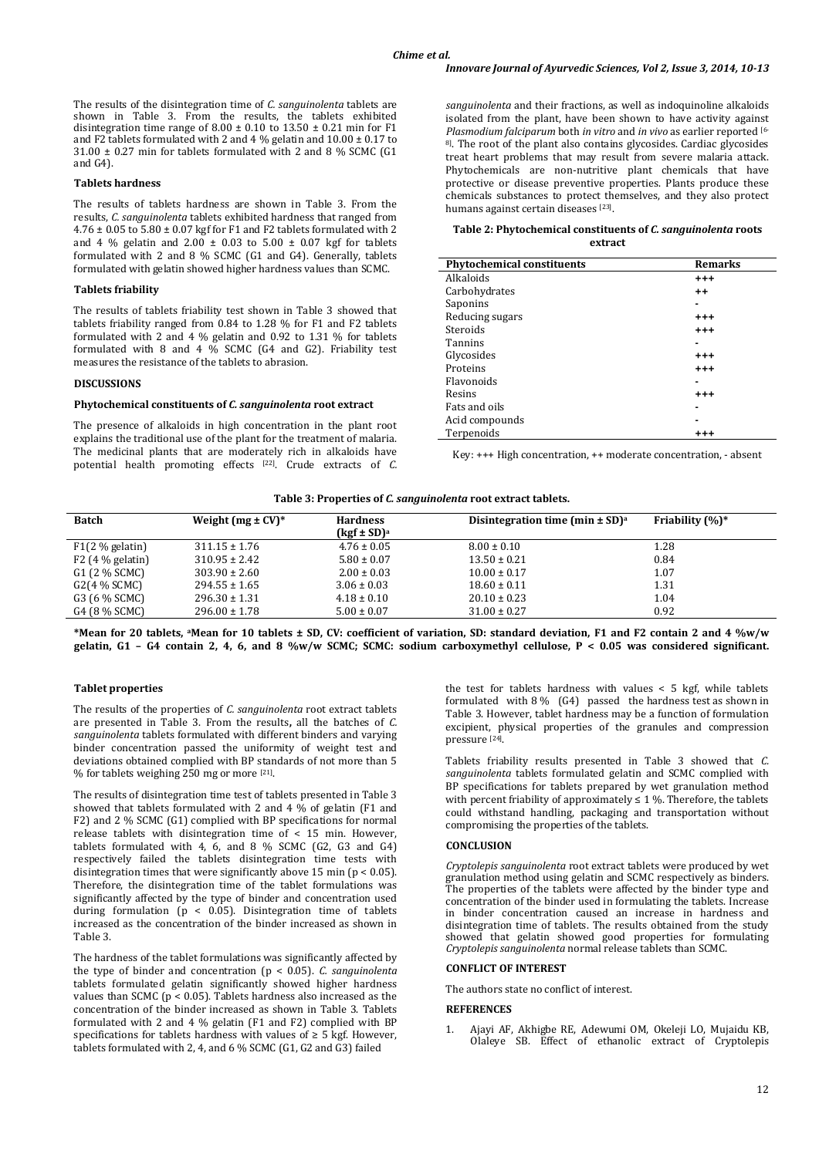The results of the disintegration time of *C. sanguinolenta* tablets are shown in Table 3. From the results, the tablets exhibited disintegration time range of  $8.00 \pm 0.10$  to  $13.50 \pm 0.21$  min for F1 and F2 tablets formulated with 2 and 4 % gelatin and  $10.00 \pm 0.17$  to  $31.00 \pm 0.27$  min for tablets formulated with 2 and 8 % SCMC (G1) and G4).

## **Tablets hardness**

The results of tablets hardness are shown in Table 3. From the results, *C. sanguinolenta* tablets exhibited hardness that ranged from  $4.76 \pm 0.05$  to  $5.80 \pm 0.07$  kgf for F1 and F2 tablets formulated with 2 and 4 % gelatin and 2.00  $\pm$  0.03 to 5.00  $\pm$  0.07 kgf for tablets formulated with 2 and 8 % SCMC (G1 and G4). Generally, tablets formulated with gelatin showed higher hardness values than SCMC.

#### **Tablets friability**

The results of tablets friability test shown in Table 3 showed that tablets friability ranged from 0.84 to 1.28 % for F1 and F2 tablets formulated with 2 and 4 % gelatin and 0.92 to 1.31 % for tablets formulated with 8 and 4 % SCMC (G4 and G2). Friability test measures the resistance of the tablets to abrasion.

# **DISCUSSIONS**

#### **Phytochemical constituents of** *C. sanguinolenta* **root extract**

The presence of alkaloids in high concentration in the plant root explains the traditional use of the plant for the treatment of malaria. The medicinal plants that are moderately rich in alkaloids have potential health promoting effects [22]. Crude extracts of *C.*  *sanguinolenta* and their fractions, as well as indoquinoline alkaloids isolated from the plant, have been shown to have activity against *Plasmodium falciparum* both *in vitro* and *in vivo* as earlier reported [6- 8]. The root of the plant also contains glycosides. Cardiac glycosides treat heart problems that may result from severe malaria attack. Phytochemicals are non-nutritive plant chemicals that have protective or disease preventive properties. Plants produce these chemicals substances to protect themselves, and they also protect humans against certain diseases [23].

#### **Table 2: Phytochemical constituents of** *C. sanguinolenta* **roots extract**

| <b>Phytochemical constituents</b> | <b>Remarks</b> |  |
|-----------------------------------|----------------|--|
| Alkaloids                         | $^{++}$        |  |
| Carbohydrates                     | $++$           |  |
| Saponins                          |                |  |
| Reducing sugars                   | $+ + +$        |  |
| Steroids                          | $+ + +$        |  |
| Tannins                           |                |  |
| Glycosides                        | $+ + +$        |  |
| Proteins                          | $+ + +$        |  |
| Flavonoids                        | -              |  |
| Resins                            | $^{++}$        |  |
| Fats and oils                     |                |  |
| Acid compounds                    |                |  |
| Terpenoids                        | $^{++}$        |  |

Key: +++ High concentration, ++ moderate concentration, - absent

#### **Table 3: Properties of** *C. sanguinolenta* **root extract tablets.**

| <b>Batch</b>      | Weight ( $mg \pm CV$ )* | <b>Hardness</b><br>$(kgf \pm SD)^a$ | Disintegration time (min $\pm$ SD) <sup>a</sup> | Friability $(\%)^*$ |
|-------------------|-------------------------|-------------------------------------|-------------------------------------------------|---------------------|
| $F1(2 %$ gelatin) | $311.15 \pm 1.76$       | $4.76 \pm 0.05$                     | $8.00 \pm 0.10$                                 | 1.28                |
| $F2(4\%$ gelatin) | $310.95 \pm 2.42$       | $5.80 \pm 0.07$                     | $13.50 \pm 0.21$                                | 0.84                |
| G1 (2 % SCMC)     | $303.90 \pm 2.60$       | $2.00 \pm 0.03$                     | $10.00 \pm 0.17$                                | 1.07                |
| G2(4 % SCMC)      | $294.55 \pm 1.65$       | $3.06 \pm 0.03$                     | $18.60 \pm 0.11$                                | 1.31                |
| G3 (6 % SCMC)     | $296.30 \pm 1.31$       | $4.18 \pm 0.10$                     | $20.10 \pm 0.23$                                | 1.04                |
| G4 (8 % SCMC)     | $296.00 \pm 1.78$       | $5.00 \pm 0.07$                     | $31.00 \pm 0.27$                                | 0.92                |

**\*Mean for 20 tablets, aMean for 10 tablets ± SD, CV: coefficient of variation, SD: standard deviation, F1 and F2 contain 2 and 4 %w/w gelatin, G1 – G4 contain 2, 4, 6, and 8 %w/w SCMC; SCMC: sodium carboxymethyl cellulose, P < 0.05 was considered significant.**

## **Tablet properties**

The results of the properties of *C. sanguinolenta* root extract tablets are presented in Table 3. From the results**,** all the batches of *C. sanguinolenta* tablets formulated with different binders and varying binder concentration passed the uniformity of weight test and deviations obtained complied with BP standards of not more than 5 % for tablets weighing 250 mg or more [21] .

The results of disintegration time test of tablets presented in Table 3 showed that tablets formulated with 2 and 4 % of gelatin (F1 and F2) and 2 % SCMC (G1) complied with BP specifications for normal release tablets with disintegration time of < 15 min. However, tablets formulated with 4, 6, and 8 % SCMC (G2, G3 and G4) respectively failed the tablets disintegration time tests with disintegration times that were significantly above 15 min ( $p < 0.05$ ). Therefore, the disintegration time of the tablet formulations was significantly affected by the type of binder and concentration used during formulation ( $p < 0.05$ ). Disintegration time of tablets increased as the concentration of the binder increased as shown in Table 3.

The hardness of the tablet formulations was significantly affected by the type of binder and concentration (p < 0.05). *C. sanguinolenta* tablets formulated gelatin significantly showed higher hardness values than SCMC ( $p < 0.05$ ). Tablets hardness also increased as the concentration of the binder increased as shown in Table 3. Tablets formulated with 2 and 4 % gelatin (F1 and F2) complied with BP specifications for tablets hardness with values of  $\geq 5$  kgf. However, tablets formulated with 2, 4, and 6 % SCMC (G1, G2 and G3) failed

the test for tablets hardness with values < 5 kgf, while tablets formulated with 8 % (G4) passed the hardness test as shown in Table 3. However, tablet hardness may be a function of formulation excipient, physical properties of the granules and compression pressure [24] .

Tablets friability results presented in Table 3 showed that *C. sanguinolenta* tablets formulated gelatin and SCMC complied with BP specifications for tablets prepared by wet granulation method with percent friability of approximately  $\leq 1$  %. Therefore, the tablets could withstand handling, packaging and transportation without compromising the properties of the tablets.

## **CONCLUSION**

*Cryptolepis sanguinolenta* root extract tablets were produced by wet granulation method using gelatin and SCMC respectively as binders. The properties of the tablets were affected by the binder type and concentration of the binder used in formulating the tablets. Increase in binder concentration caused an increase in hardness and disintegration time of tablets. The results obtained from the study showed that gelatin showed good properties for formulating *Cryptolepis sanguinolenta* normal release tablets than SCMC.

#### **CONFLICT OF INTEREST**

The authors state no conflict of interest.

#### **REFERENCES**

1. [Ajayi](http://www.ijem.in/searchresult.asp?search=&author=AF+Ajayi&journal=Y&but_search=Search&entries=10&pg=1&s=0) AF, [Akhigbe](http://www.ijem.in/searchresult.asp?search=&author=RE+Akhigbe&journal=Y&but_search=Search&entries=10&pg=1&s=0) RE, [Adewumi](http://www.ijem.in/searchresult.asp?search=&author=OM+Adewumi&journal=Y&but_search=Search&entries=10&pg=1&s=0) OM, [Okeleji](http://www.ijem.in/searchresult.asp?search=&author=LO+Okeleji&journal=Y&but_search=Search&entries=10&pg=1&s=0) LO, [Mujaidu](http://www.ijem.in/searchresult.asp?search=&author=KB+Mujaidu&journal=Y&but_search=Search&entries=10&pg=1&s=0) KB, [Olaleye](http://www.ijem.in/searchresult.asp?search=&author=SB+Olaleye&journal=Y&but_search=Search&entries=10&pg=1&s=0) SB. Effect of ethanolic extract of Cryptolepis